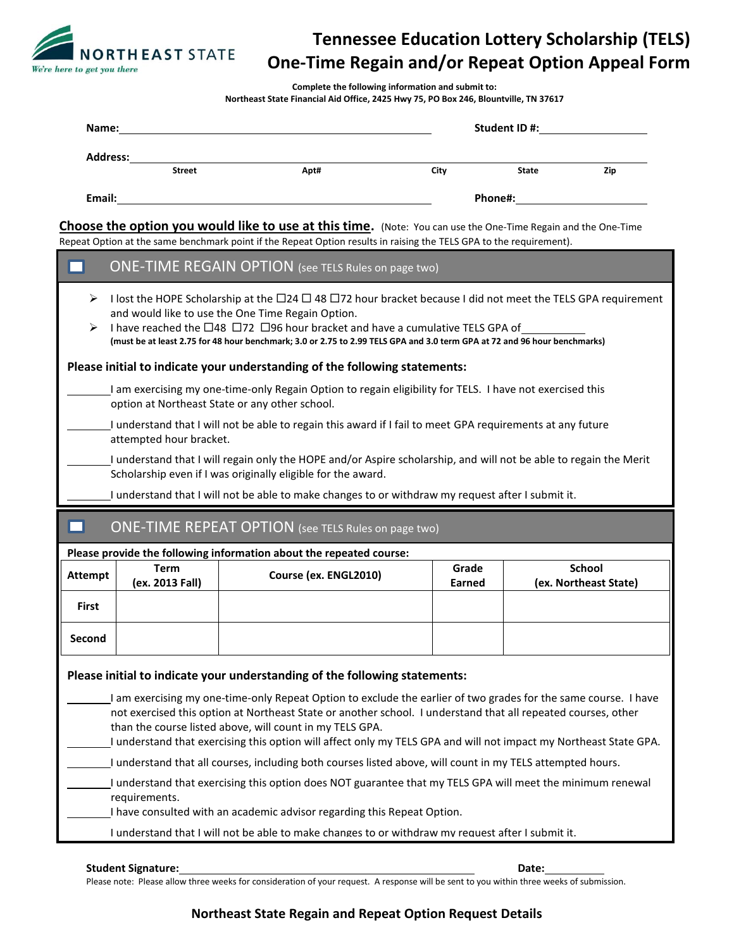

# **Tennessee Education Lottery Scholarship (TELS) One-Time Regain and/or Repeat Option Appeal Form**

**Complete the following information and submit to: Northeast State Financial Aid Office, 2425 Hwy 75, PO Box 246, Blountville, TN 37617**

|                                                                                                                                                                                                        |                                                                                                                                                                                                                                                                                       | Name: when the contract of the contract of the contract of the contract of the contract of the contract of the contract of the contract of the contract of the contract of the contract of the contract of the contract of the |                 |                                                                                                                                                                                                                                    |                                        |  |  |  |
|--------------------------------------------------------------------------------------------------------------------------------------------------------------------------------------------------------|---------------------------------------------------------------------------------------------------------------------------------------------------------------------------------------------------------------------------------------------------------------------------------------|--------------------------------------------------------------------------------------------------------------------------------------------------------------------------------------------------------------------------------|-----------------|------------------------------------------------------------------------------------------------------------------------------------------------------------------------------------------------------------------------------------|----------------------------------------|--|--|--|
|                                                                                                                                                                                                        | Address:______                                                                                                                                                                                                                                                                        |                                                                                                                                                                                                                                |                 |                                                                                                                                                                                                                                    |                                        |  |  |  |
|                                                                                                                                                                                                        | <b>Street</b>                                                                                                                                                                                                                                                                         | Apt#                                                                                                                                                                                                                           | City            | <b>State</b>                                                                                                                                                                                                                       | Zip                                    |  |  |  |
|                                                                                                                                                                                                        |                                                                                                                                                                                                                                                                                       |                                                                                                                                                                                                                                |                 | <b>Phone#:</b> and the state of the state of the state of the state of the state of the state of the state of the state of the state of the state of the state of the state of the state of the state of the state of the state of |                                        |  |  |  |
|                                                                                                                                                                                                        |                                                                                                                                                                                                                                                                                       | Choose the option you would like to use at this time. (Note: You can use the One-Time Regain and the One-Time                                                                                                                  |                 |                                                                                                                                                                                                                                    |                                        |  |  |  |
|                                                                                                                                                                                                        |                                                                                                                                                                                                                                                                                       | Repeat Option at the same benchmark point if the Repeat Option results in raising the TELS GPA to the requirement).                                                                                                            |                 |                                                                                                                                                                                                                                    |                                        |  |  |  |
|                                                                                                                                                                                                        |                                                                                                                                                                                                                                                                                       | <b>ONE-TIME REGAIN OPTION</b> (see TELS Rules on page two)                                                                                                                                                                     |                 |                                                                                                                                                                                                                                    |                                        |  |  |  |
| ➤<br>➤                                                                                                                                                                                                 | I lost the HOPE Scholarship at the $\Box$ 24 $\Box$ 48 $\Box$ 72 hour bracket because I did not meet the TELS GPA requirement<br>and would like to use the One Time Regain Option.<br>I have reached the $\Box$ 48 $\Box$ 72 $\Box$ 96 hour bracket and have a cumulative TELS GPA of |                                                                                                                                                                                                                                |                 |                                                                                                                                                                                                                                    |                                        |  |  |  |
|                                                                                                                                                                                                        |                                                                                                                                                                                                                                                                                       | (must be at least 2.75 for 48 hour benchmark; 3.0 or 2.75 to 2.99 TELS GPA and 3.0 term GPA at 72 and 96 hour benchmarks)                                                                                                      |                 |                                                                                                                                                                                                                                    |                                        |  |  |  |
|                                                                                                                                                                                                        |                                                                                                                                                                                                                                                                                       | Please initial to indicate your understanding of the following statements:                                                                                                                                                     |                 |                                                                                                                                                                                                                                    |                                        |  |  |  |
| I am exercising my one-time-only Regain Option to regain eligibility for TELS. I have not exercised this<br>option at Northeast State or any other school.                                             |                                                                                                                                                                                                                                                                                       |                                                                                                                                                                                                                                |                 |                                                                                                                                                                                                                                    |                                        |  |  |  |
|                                                                                                                                                                                                        | I understand that I will not be able to regain this award if I fail to meet GPA requirements at any future<br>attempted hour bracket.                                                                                                                                                 |                                                                                                                                                                                                                                |                 |                                                                                                                                                                                                                                    |                                        |  |  |  |
|                                                                                                                                                                                                        | I understand that I will regain only the HOPE and/or Aspire scholarship, and will not be able to regain the Merit                                                                                                                                                                     |                                                                                                                                                                                                                                |                 |                                                                                                                                                                                                                                    |                                        |  |  |  |
|                                                                                                                                                                                                        |                                                                                                                                                                                                                                                                                       | Scholarship even if I was originally eligible for the award.                                                                                                                                                                   |                 |                                                                                                                                                                                                                                    |                                        |  |  |  |
| I understand that I will not be able to make changes to or withdraw my request after I submit it.                                                                                                      |                                                                                                                                                                                                                                                                                       |                                                                                                                                                                                                                                |                 |                                                                                                                                                                                                                                    |                                        |  |  |  |
| <b>ONE-TIME REPEAT OPTION</b> (see TELS Rules on page two)                                                                                                                                             |                                                                                                                                                                                                                                                                                       |                                                                                                                                                                                                                                |                 |                                                                                                                                                                                                                                    |                                        |  |  |  |
|                                                                                                                                                                                                        |                                                                                                                                                                                                                                                                                       | Please provide the following information about the repeated course:                                                                                                                                                            |                 |                                                                                                                                                                                                                                    |                                        |  |  |  |
| <b>Attempt</b>                                                                                                                                                                                         | Term<br>(ex. 2013 Fall)                                                                                                                                                                                                                                                               | Course (ex. ENGL2010)                                                                                                                                                                                                          | Grade<br>Earned |                                                                                                                                                                                                                                    | <b>School</b><br>(ex. Northeast State) |  |  |  |
| <b>First</b>                                                                                                                                                                                           |                                                                                                                                                                                                                                                                                       |                                                                                                                                                                                                                                |                 |                                                                                                                                                                                                                                    |                                        |  |  |  |
| Second                                                                                                                                                                                                 |                                                                                                                                                                                                                                                                                       |                                                                                                                                                                                                                                |                 |                                                                                                                                                                                                                                    |                                        |  |  |  |
| Please initial to indicate your understanding of the following statements:                                                                                                                             |                                                                                                                                                                                                                                                                                       |                                                                                                                                                                                                                                |                 |                                                                                                                                                                                                                                    |                                        |  |  |  |
| I am exercising my one-time-only Repeat Option to exclude the earlier of two grades for the same course. I have                                                                                        |                                                                                                                                                                                                                                                                                       |                                                                                                                                                                                                                                |                 |                                                                                                                                                                                                                                    |                                        |  |  |  |
| not exercised this option at Northeast State or another school. I understand that all repeated courses, other<br>than the course listed above, will count in my TELS GPA.                              |                                                                                                                                                                                                                                                                                       |                                                                                                                                                                                                                                |                 |                                                                                                                                                                                                                                    |                                        |  |  |  |
|                                                                                                                                                                                                        |                                                                                                                                                                                                                                                                                       | I understand that exercising this option will affect only my TELS GPA and will not impact my Northeast State GPA.                                                                                                              |                 |                                                                                                                                                                                                                                    |                                        |  |  |  |
|                                                                                                                                                                                                        | I understand that all courses, including both courses listed above, will count in my TELS attempted hours.                                                                                                                                                                            |                                                                                                                                                                                                                                |                 |                                                                                                                                                                                                                                    |                                        |  |  |  |
| I understand that exercising this option does NOT guarantee that my TELS GPA will meet the minimum renewal<br>requirements.<br>I have consulted with an academic advisor regarding this Repeat Option. |                                                                                                                                                                                                                                                                                       |                                                                                                                                                                                                                                |                 |                                                                                                                                                                                                                                    |                                        |  |  |  |
|                                                                                                                                                                                                        | I understand that I will not be able to make changes to or withdraw my request after I submit it.                                                                                                                                                                                     |                                                                                                                                                                                                                                |                 |                                                                                                                                                                                                                                    |                                        |  |  |  |
|                                                                                                                                                                                                        |                                                                                                                                                                                                                                                                                       |                                                                                                                                                                                                                                |                 |                                                                                                                                                                                                                                    |                                        |  |  |  |

Please note: Please allow three weeks for consideration of your request. A response will be sent to you within three weeks of submission.